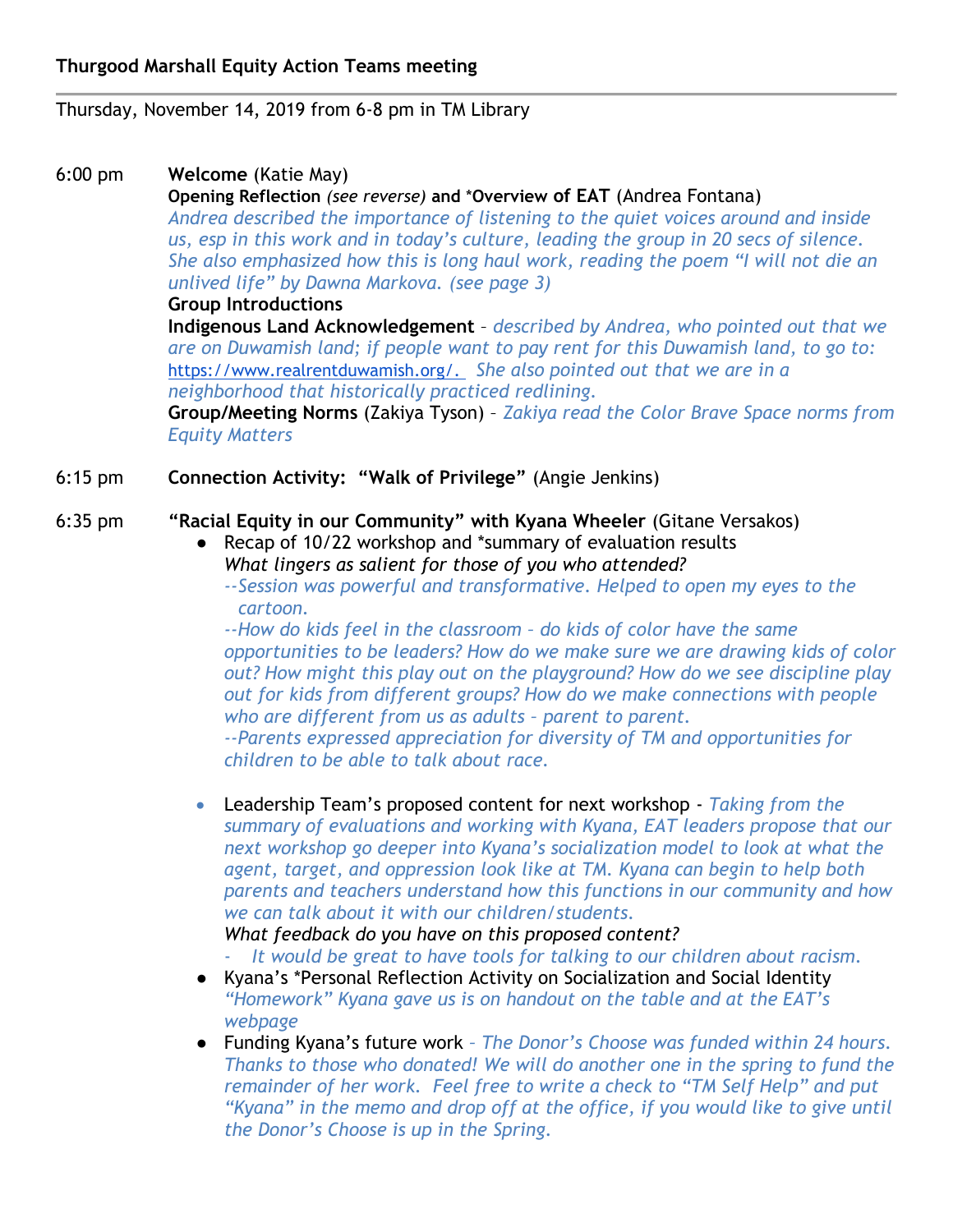Thursday, November 14, 2019 from 6-8 pm in TM Library

# 6:00 pm **Welcome** (Katie May)

**Opening Reflection** *(see reverse)* **and** \***Overview of EAT** (Andrea Fontana) *Andrea described the importance of listening to the quiet voices around and inside us, esp in this work and in today's culture, leading the group in 20 secs of silence. She also emphasized how this is long haul work, reading the poem "I will not die an unlived life" by Dawna Markova. (see page 3)*

#### **Group Introductions**

**Indigenous Land Acknowledgement** – *described by Andrea, who pointed out that we are on Duwamish land; if people want to pay rent for this Duwamish land, to go to:*  [https://www.realrentduwamish.org/.](https://www.realrentduwamish.org/) *She also pointed out that we are in a neighborhood that historically practiced redlining.*

**Group/Meeting Norms** (Zakiya Tyson) – *Zakiya read the Color Brave Space norms from Equity Matters*

6:15 pm **Connection Activity: "Walk of Privilege"** (Angie Jenkins)

## 6:35 pm **"Racial Equity in our Community" with Kyana Wheeler** (Gitane Versakos)

- Recap of 10/22 workshop and \*summary of evaluation results *What lingers as salient for those of you who attended?*
	- *--Session was powerful and transformative. Helped to open my eyes to the cartoon.*

*--How do kids feel in the classroom – do kids of color have the same opportunities to be leaders? How do we make sure we are drawing kids of color out? How might this play out on the playground? How do we see discipline play out for kids from different groups? How do we make connections with people who are different from us as adults – parent to parent.* 

*--Parents expressed appreciation for diversity of TM and opportunities for children to be able to talk about race.*

 Leadership Team's proposed content for next workshop - *Taking from the summary of evaluations and working with Kyana, EAT leaders propose that our next workshop go deeper into Kyana's socialization model to look at what the agent, target, and oppression look like at TM. Kyana can begin to help both parents and teachers understand how this functions in our community and how we can talk about it with our children/students.*

### *What feedback do you have on this proposed content?*

- *It would be great to have tools for talking to our children about racism.*
- Kyana's \*Personal Reflection Activity on Socialization and Social Identity *"Homework" Kyana gave us is on handout on the table and at the EAT's webpage*
- Funding Kyana's future work *– The Donor's Choose was funded within 24 hours. Thanks to those who donated! We will do another one in the spring to fund the remainder of her work. Feel free to write a check to "TM Self Help" and put "Kyana" in the memo and drop off at the office, if you would like to give until the Donor's Choose is up in the Spring.*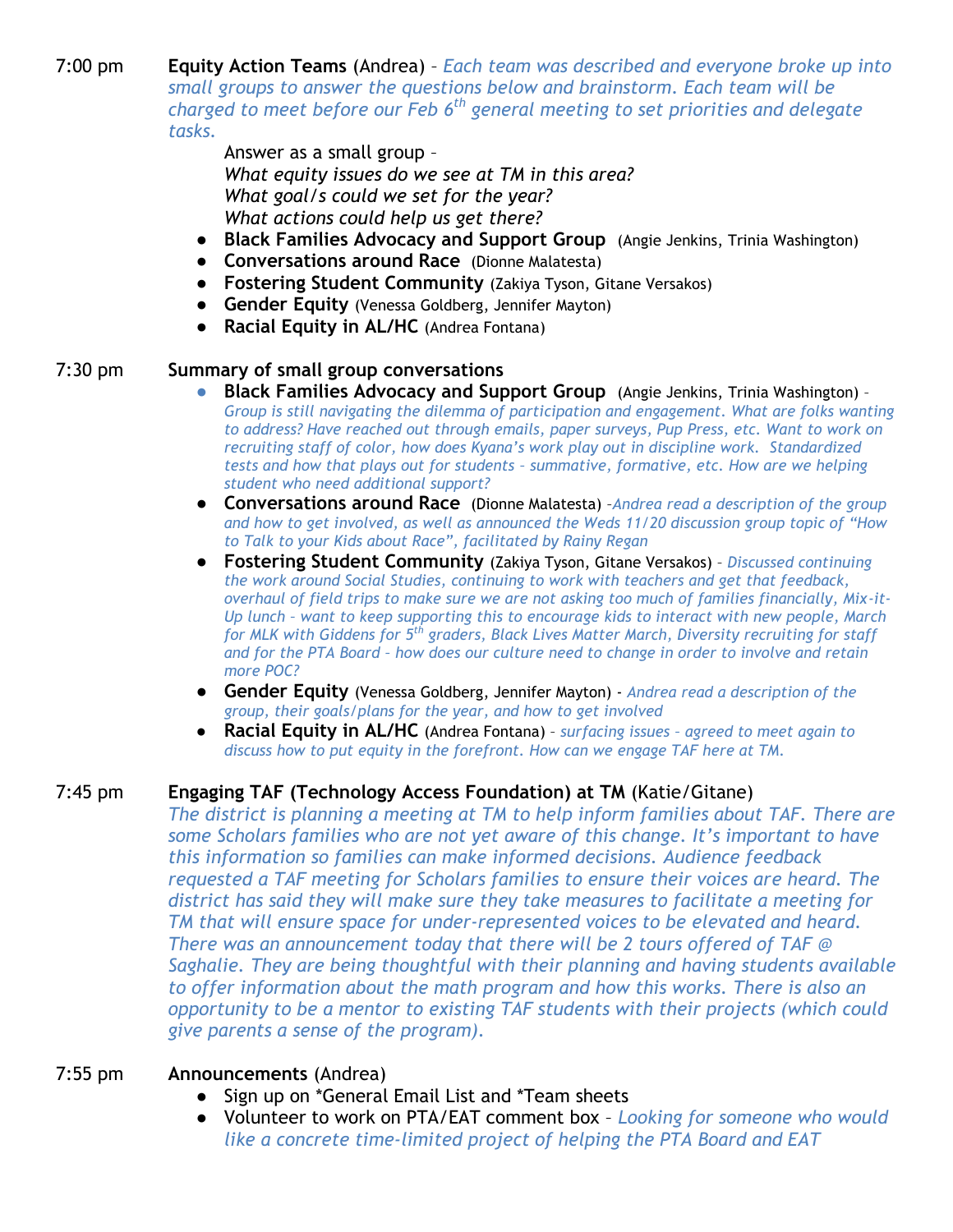7:00 pm **Equity Action Teams** (Andrea) – *Each team was described and everyone broke up into small groups to answer the questions below and brainstorm. Each team will be charged to meet before our Feb 6th general meeting to set priorities and delegate tasks.*

> Answer as a small group – *What equity issues do we see at TM in this area? What goal/s could we set for the year? What actions could help us get there?*

- **Black Families Advocacy and Support Group** (Angie Jenkins, Trinia Washington)
- **Conversations around Race** (Dionne Malatesta)
- **Fostering Student Community** (Zakiya Tyson, Gitane Versakos)
- **Gender Equity** (Venessa Goldberg, Jennifer Mayton)
- **Racial Equity in AL/HC** (Andrea Fontana)

#### 7:30 pm **Summary of small group conversations**

- **Black Families Advocacy and Support Group** (Angie Jenkins, Trinia Washington) -*Group is still navigating the dilemma of participation and engagement. What are folks wanting to address? Have reached out through emails, paper surveys, Pup Press, etc. Want to work on recruiting staff of color, how does Kyana's work play out in discipline work. Standardized tests and how that plays out for students – summative, formative, etc. How are we helping student who need additional support?*
- **Conversations around Race** (Dionne Malatesta) –*Andrea read a description of the group and how to get involved, as well as announced the Weds 11/20 discussion group topic of "How to Talk to your Kids about Race", facilitated by Rainy Regan*
- **Fostering Student Community** (Zakiya Tyson, Gitane Versakos) *Discussed continuing the work around Social Studies, continuing to work with teachers and get that feedback, overhaul of field trips to make sure we are not asking too much of families financially, Mix-it-Up lunch – want to keep supporting this to encourage kids to interact with new people, March for MLK with Giddens for 5th graders, Black Lives Matter March, Diversity recruiting for staff and for the PTA Board – how does our culture need to change in order to involve and retain more POC?*
- **Gender Equity** (Venessa Goldberg, Jennifer Mayton) *Andrea read a description of the group, their goals/plans for the year, and how to get involved*
- **Racial Equity in AL/HC** (Andrea Fontana) *surfacing issues – agreed to meet again to discuss how to put equity in the forefront. How can we engage TAF here at TM.*

### 7:45 pm **Engaging TAF (Technology Access Foundation) at TM** (Katie/Gitane)

*The district is planning a meeting at TM to help inform families about TAF. There are some Scholars families who are not yet aware of this change. It's important to have this information so families can make informed decisions. Audience feedback requested a TAF meeting for Scholars families to ensure their voices are heard. The district has said they will make sure they take measures to facilitate a meeting for TM that will ensure space for under-represented voices to be elevated and heard. There was an announcement today that there will be 2 tours offered of TAF @ Saghalie. They are being thoughtful with their planning and having students available to offer information about the math program and how this works. There is also an opportunity to be a mentor to existing TAF students with their projects (which could give parents a sense of the program).* 

#### 7:55 pm **Announcements** (Andrea)

- Sign up on \*General Email List and \*Team sheets
- Volunteer to work on PTA/EAT comment box *Looking for someone who would like a concrete time-limited project of helping the PTA Board and EAT*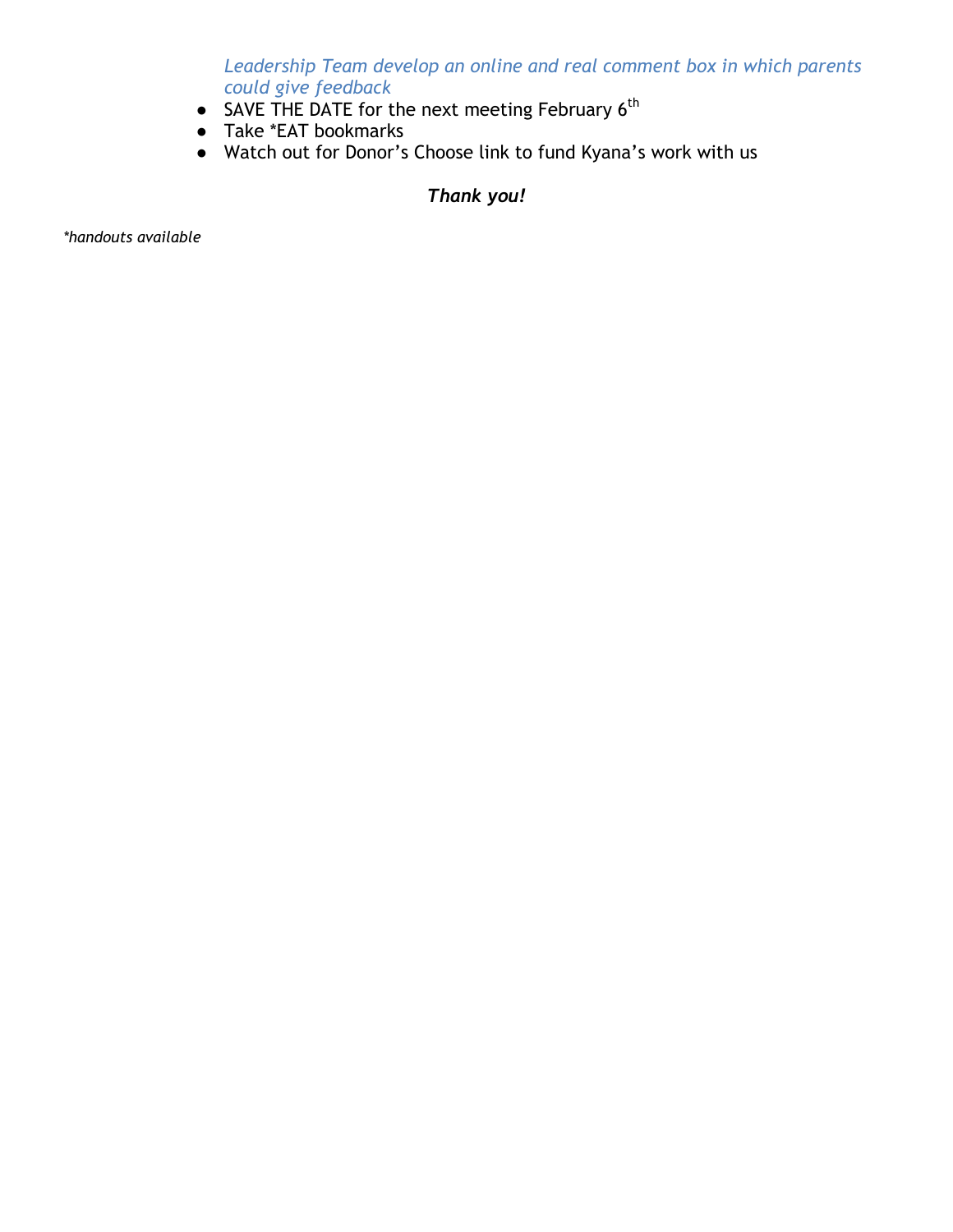*Leadership Team develop an online and real comment box in which parents could give feedback*

- SAVE THE DATE for the next meeting February 6<sup>th</sup>
- Take \*EAT bookmarks
- Watch out for Donor's Choose link to fund Kyana's work with us

## *Thank you!*

*\*handouts available*